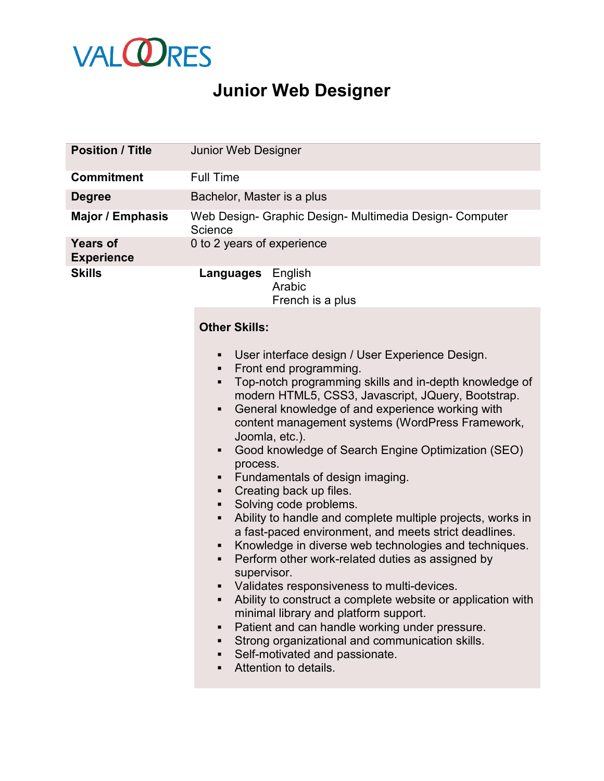

## **Junior Web Designer**

| <b>Position / Title</b>              | <b>Junior Web Designer</b>                                                                                                                                                                                                                                                                                                                                                                                                                                                                                                                                                                                                                                                                                                                                                                                                                                                                                                                                                                                                                                                                                                   |
|--------------------------------------|------------------------------------------------------------------------------------------------------------------------------------------------------------------------------------------------------------------------------------------------------------------------------------------------------------------------------------------------------------------------------------------------------------------------------------------------------------------------------------------------------------------------------------------------------------------------------------------------------------------------------------------------------------------------------------------------------------------------------------------------------------------------------------------------------------------------------------------------------------------------------------------------------------------------------------------------------------------------------------------------------------------------------------------------------------------------------------------------------------------------------|
| <b>Commitment</b>                    | <b>Full Time</b>                                                                                                                                                                                                                                                                                                                                                                                                                                                                                                                                                                                                                                                                                                                                                                                                                                                                                                                                                                                                                                                                                                             |
| <b>Degree</b>                        | Bachelor, Master is a plus                                                                                                                                                                                                                                                                                                                                                                                                                                                                                                                                                                                                                                                                                                                                                                                                                                                                                                                                                                                                                                                                                                   |
| <b>Major / Emphasis</b>              | Web Design- Graphic Design- Multimedia Design- Computer<br>Science                                                                                                                                                                                                                                                                                                                                                                                                                                                                                                                                                                                                                                                                                                                                                                                                                                                                                                                                                                                                                                                           |
| <b>Years of</b><br><b>Experience</b> | 0 to 2 years of experience                                                                                                                                                                                                                                                                                                                                                                                                                                                                                                                                                                                                                                                                                                                                                                                                                                                                                                                                                                                                                                                                                                   |
| <b>Skills</b>                        | Languages English<br>Arabic<br>French is a plus                                                                                                                                                                                                                                                                                                                                                                                                                                                                                                                                                                                                                                                                                                                                                                                                                                                                                                                                                                                                                                                                              |
|                                      | <b>Other Skills:</b>                                                                                                                                                                                                                                                                                                                                                                                                                                                                                                                                                                                                                                                                                                                                                                                                                                                                                                                                                                                                                                                                                                         |
|                                      | User interface design / User Experience Design.<br>٠<br>Front end programming.<br>٠<br>Top-notch programming skills and in-depth knowledge of<br>٠<br>modern HTML5, CSS3, Javascript, JQuery, Bootstrap.<br>General knowledge of and experience working with<br>٠<br>content management systems (WordPress Framework,<br>Joomla, etc.).<br>Good knowledge of Search Engine Optimization (SEO)<br>٠<br>process.<br>Fundamentals of design imaging.<br>Creating back up files.<br>٠<br>Solving code problems.<br>٠<br>Ability to handle and complete multiple projects, works in<br>٠<br>a fast-paced environment, and meets strict deadlines.<br>Knowledge in diverse web technologies and techniques.<br>٠<br>Perform other work-related duties as assigned by<br>٠<br>supervisor.<br>Validates responsiveness to multi-devices.<br>Ability to construct a complete website or application with<br>٠<br>minimal library and platform support.<br>Patient and can handle working under pressure.<br>٠<br>Strong organizational and communication skills.<br>٠<br>Self-motivated and passionate.<br>٠<br>Attention to details. |